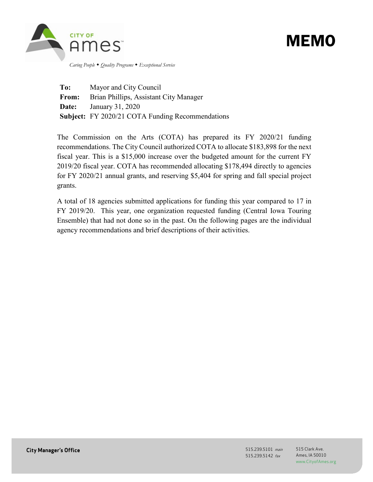

# MEMO

 *Caring People Quality Programs Exceptional Service*

**To:** Mayor and City Council **From:** Brian Phillips, Assistant City Manager **Date:** January 31, 2020 **Subject:** FY 2020/21 COTA Funding Recommendations

The Commission on the Arts (COTA) has prepared its FY 2020/21 funding recommendations. The City Council authorized COTA to allocate \$183,898 for the next fiscal year. This is a \$15,000 increase over the budgeted amount for the current FY 2019/20 fiscal year. COTA has recommended allocating \$178,494 directly to agencies for FY 2020/21 annual grants, and reserving \$5,404 for spring and fall special project grants.

A total of 18 agencies submitted applications for funding this year compared to 17 in FY 2019/20. This year, one organization requested funding (Central Iowa Touring Ensemble) that had not done so in the past. On the following pages are the individual agency recommendations and brief descriptions of their activities.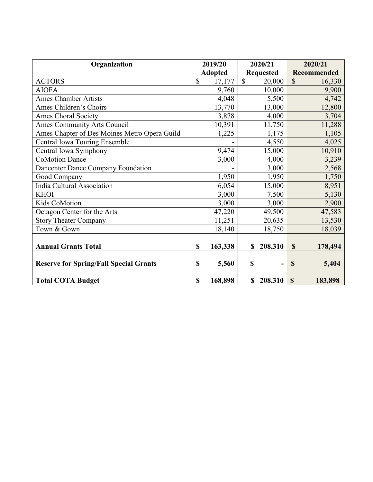| Organization                                  | 2019/20        |         | 2020/21          |         | 2020/21       |         |
|-----------------------------------------------|----------------|---------|------------------|---------|---------------|---------|
|                                               | <b>Adopted</b> |         | <b>Requested</b> |         | Recommended   |         |
| <b>ACTORS</b>                                 | $\mathbb{S}$   | 17,177  | $\mathbb{S}$     | 20,000  | $\mathcal{S}$ | 16,330  |
| <b>AIOFA</b>                                  |                | 9,760   |                  | 10,000  |               | 9,900   |
| <b>Ames Chamber Artists</b>                   |                | 4,048   |                  | 5,500   |               | 4,742   |
| Ames Children's Choirs                        |                | 13,770  |                  | 13,000  |               | 12,800  |
| <b>Ames Choral Society</b>                    |                | 3,878   |                  | 4,000   |               | 3,704   |
| <b>Ames Community Arts Council</b>            |                | 10,391  |                  | 11,750  |               | 11,288  |
| Ames Chapter of Des Moines Metro Opera Guild  |                | 1,225   |                  | 1,175   |               | 1,105   |
| Central Iowa Touring Ensemble                 |                |         |                  | 4,550   |               | 4,025   |
| Central Iowa Symphony                         |                | 9,474   |                  | 15,000  |               | 10,910  |
| <b>CoMotion Dance</b>                         |                | 3,000   |                  | 4,000   |               | 3,239   |
| Dancenter Dance Company Foundation            |                |         |                  | 3,000   |               | 2,568   |
| Good Company                                  |                | 1,950   |                  | 1,950   |               | 1,750   |
| India Cultural Association                    |                | 6,054   |                  | 15,000  |               | 8,951   |
| <b>KHOI</b>                                   |                | 3,000   |                  | 7,500   |               | 5,130   |
| Kids CoMotion                                 |                | 3,000   |                  | 3,000   |               | 2,900   |
| Octagon Center for the Arts                   |                | 47,220  |                  | 49,500  |               | 47,583  |
| <b>Story Theater Company</b>                  |                | 11,251  |                  | 20,635  |               | 13,530  |
| Town & Gown                                   |                | 18,140  |                  | 18,750  |               | 18,039  |
|                                               |                |         |                  |         |               |         |
| <b>Annual Grants Total</b>                    | \$             | 163,338 | S                | 208,310 | $\mathbf S$   | 178,494 |
|                                               |                |         |                  |         |               |         |
| <b>Reserve for Spring/Fall Special Grants</b> | \$             | 5,560   | \$               |         | $\mathbf S$   | 5,404   |
| <b>Total COTA Budget</b>                      | \$             | 168,898 | \$               | 208,310 | $\mathbf S$   | 183,898 |
|                                               |                |         |                  |         |               |         |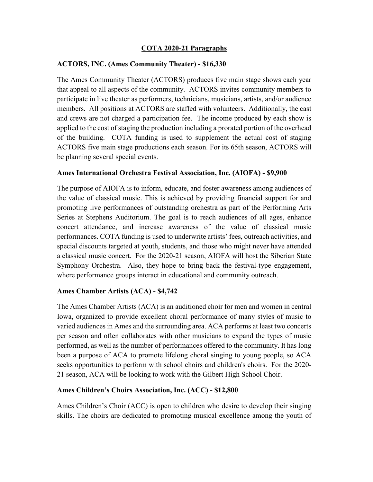## **COTA 2020-21 Paragraphs**

## **ACTORS, INC. (Ames Community Theater) - \$16,330**

The Ames Community Theater (ACTORS) produces five main stage shows each year that appeal to all aspects of the community. ACTORS invites community members to participate in live theater as performers, technicians, musicians, artists, and/or audience members. All positions at ACTORS are staffed with volunteers. Additionally, the cast and crews are not charged a participation fee. The income produced by each show is applied to the cost of staging the production including a prorated portion of the overhead of the building. COTA funding is used to supplement the actual cost of staging ACTORS five main stage productions each season. For its 65th season, ACTORS will be planning several special events.

## **Ames International Orchestra Festival Association, Inc. (AIOFA) - \$9,900**

The purpose of AIOFA is to inform, educate, and foster awareness among audiences of the value of classical music. This is achieved by providing financial support for and promoting live performances of outstanding orchestra as part of the Performing Arts Series at Stephens Auditorium. The goal is to reach audiences of all ages, enhance concert attendance, and increase awareness of the value of classical music performances. COTA funding is used to underwrite artists' fees, outreach activities, and special discounts targeted at youth, students, and those who might never have attended a classical music concert. For the 2020-21 season, AIOFA will host the Siberian State Symphony Orchestra. Also, they hope to bring back the festival-type engagement, where performance groups interact in educational and community outreach.

## **Ames Chamber Artists (ACA) - \$4,742**

The Ames Chamber Artists (ACA) is an auditioned choir for men and women in central Iowa, organized to provide excellent choral performance of many styles of music to varied audiences in Ames and the surrounding area. ACA performs at least two concerts per season and often collaborates with other musicians to expand the types of music performed, as well as the number of performances offered to the community. It has long been a purpose of ACA to promote lifelong choral singing to young people, so ACA seeks opportunities to perform with school choirs and children's choirs. For the 2020- 21 season, ACA will be looking to work with the Gilbert High School Choir.

#### **Ames Children's Choirs Association, Inc. (ACC) - \$12,800**

Ames Children's Choir (ACC) is open to children who desire to develop their singing skills. The choirs are dedicated to promoting musical excellence among the youth of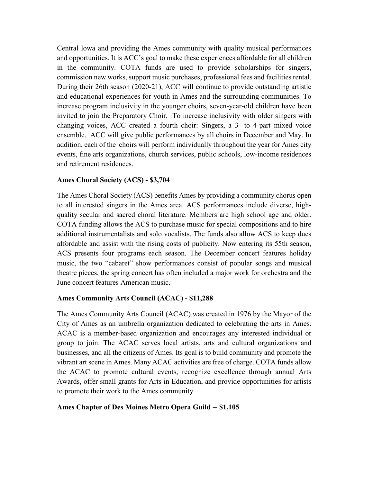Central Iowa and providing the Ames community with quality musical performances and opportunities. It is ACC's goal to make these experiences affordable for all children in the community. COTA funds are used to provide scholarships for singers, commission new works, support music purchases, professional fees and facilities rental. During their 26th season (2020-21), ACC will continue to provide outstanding artistic and educational experiences for youth in Ames and the surrounding communities. To increase program inclusivity in the younger choirs, seven-year-old children have been invited to join the Preparatory Choir. To increase inclusivity with older singers with changing voices, ACC created a fourth choir: Singers, a 3- to 4-part mixed voice ensemble. ACC will give public performances by all choirs in December and May. In addition, each of the choirs will perform individually throughout the year for Ames city events, fine arts organizations, church services, public schools, low-income residences and retirement residences.

#### **Ames Choral Society (ACS) - \$3,704**

The Ames Choral Society (ACS) benefits Ames by providing a community chorus open to all interested singers in the Ames area. ACS performances include diverse, highquality secular and sacred choral literature. Members are high school age and older. COTA funding allows the ACS to purchase music for special compositions and to hire additional instrumentalists and solo vocalists. The funds also allow ACS to keep dues affordable and assist with the rising costs of publicity. Now entering its 55th season, ACS presents four programs each season. The December concert features holiday music, the two "cabaret" show performances consist of popular songs and musical theatre pieces, the spring concert has often included a major work for orchestra and the June concert features American music.

#### **Ames Community Arts Council (ACAC) - \$11,288**

The Ames Community Arts Council (ACAC) was created in 1976 by the Mayor of the City of Ames as an umbrella organization dedicated to celebrating the arts in Ames. ACAC is a member-based organization and encourages any interested individual or group to join. The ACAC serves local artists, arts and cultural organizations and businesses, and all the citizens of Ames. Its goal is to build community and promote the vibrant art scene in Ames. Many ACAC activities are free of charge. COTA funds allow the ACAC to promote cultural events, recognize excellence through annual Arts Awards, offer small grants for Arts in Education, and provide opportunities for artists to promote their work to the Ames community.

#### **Ames Chapter of Des Moines Metro Opera Guild -- \$1,105**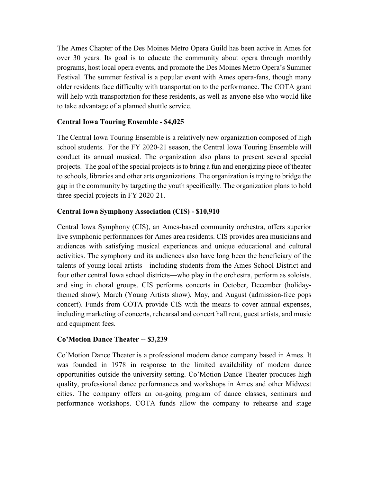The Ames Chapter of the Des Moines Metro Opera Guild has been active in Ames for over 30 years. Its goal is to educate the community about opera through monthly programs, host local opera events, and promote the Des Moines Metro Opera's Summer Festival. The summer festival is a popular event with Ames opera-fans, though many older residents face difficulty with transportation to the performance. The COTA grant will help with transportation for these residents, as well as anyone else who would like to take advantage of a planned shuttle service.

## **Central Iowa Touring Ensemble - \$4,025**

The Central Iowa Touring Ensemble is a relatively new organization composed of high school students. For the FY 2020-21 season, the Central Iowa Touring Ensemble will conduct its annual musical. The organization also plans to present several special projects. The goal of the special projects is to bring a fun and energizing piece of theater to schools, libraries and other arts organizations. The organization is trying to bridge the gap in the community by targeting the youth specifically. The organization plans to hold three special projects in FY 2020-21.

#### **Central Iowa Symphony Association (CIS) - \$10,910**

Central Iowa Symphony (CIS), an Ames-based community orchestra, offers superior live symphonic performances for Ames area residents. CIS provides area musicians and audiences with satisfying musical experiences and unique educational and cultural activities. The symphony and its audiences also have long been the beneficiary of the talents of young local artists—including students from the Ames School District and four other central Iowa school districts—who play in the orchestra, perform as soloists, and sing in choral groups. CIS performs concerts in October, December (holidaythemed show), March (Young Artists show), May, and August (admission-free pops concert). Funds from COTA provide CIS with the means to cover annual expenses, including marketing of concerts, rehearsal and concert hall rent, guest artists, and music and equipment fees.

## **Co'Motion Dance Theater -- \$3,239**

Co'Motion Dance Theater is a professional modern dance company based in Ames. It was founded in 1978 in response to the limited availability of modern dance opportunities outside the university setting. Co'Motion Dance Theater produces high quality, professional dance performances and workshops in Ames and other Midwest cities. The company offers an on-going program of dance classes, seminars and performance workshops. COTA funds allow the company to rehearse and stage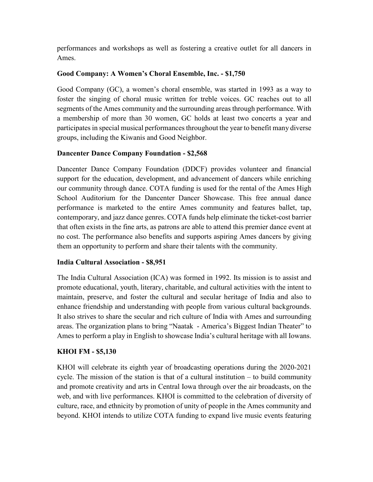performances and workshops as well as fostering a creative outlet for all dancers in Ames.

# **Good Company: A Women's Choral Ensemble, Inc. - \$1,750**

Good Company (GC), a women's choral ensemble, was started in 1993 as a way to foster the singing of choral music written for treble voices. GC reaches out to all segments of the Ames community and the surrounding areas through performance. With a membership of more than 30 women, GC holds at least two concerts a year and participates in special musical performances throughout the year to benefit many diverse groups, including the Kiwanis and Good Neighbor.

# **Dancenter Dance Company Foundation - \$2,568**

Dancenter Dance Company Foundation (DDCF) provides volunteer and financial support for the education, development, and advancement of dancers while enriching our community through dance. COTA funding is used for the rental of the Ames High School Auditorium for the Dancenter Dancer Showcase. This free annual dance performance is marketed to the entire Ames community and features ballet, tap, contemporary, and jazz dance genres. COTA funds help eliminate the ticket-cost barrier that often exists in the fine arts, as patrons are able to attend this premier dance event at no cost. The performance also benefits and supports aspiring Ames dancers by giving them an opportunity to perform and share their talents with the community.

## **India Cultural Association - \$8,951**

The India Cultural Association (ICA) was formed in 1992. Its mission is to assist and promote educational, youth, literary, charitable, and cultural activities with the intent to maintain, preserve, and foster the cultural and secular heritage of India and also to enhance friendship and understanding with people from various cultural backgrounds. It also strives to share the secular and rich culture of India with Ames and surrounding areas. The organization plans to bring "Naatak - America's Biggest Indian Theater" to Ames to perform a play in English to showcase India's cultural heritage with all Iowans.

# **KHOI FM - \$5,130**

KHOI will celebrate its eighth year of broadcasting operations during the 2020-2021 cycle. The mission of the station is that of a cultural institution – to build community and promote creativity and arts in Central Iowa through over the air broadcasts, on the web, and with live performances. KHOI is committed to the celebration of diversity of culture, race, and ethnicity by promotion of unity of people in the Ames community and beyond. KHOI intends to utilize COTA funding to expand live music events featuring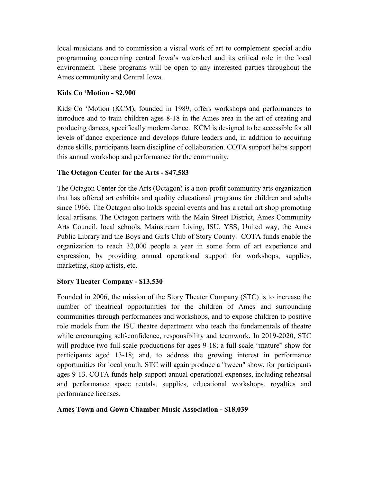local musicians and to commission a visual work of art to complement special audio programming concerning central Iowa's watershed and its critical role in the local environment. These programs will be open to any interested parties throughout the Ames community and Central Iowa.

## **Kids Co 'Motion - \$2,900**

Kids Co 'Motion (KCM), founded in 1989, offers workshops and performances to introduce and to train children ages 8-18 in the Ames area in the art of creating and producing dances, specifically modern dance. KCM is designed to be accessible for all levels of dance experience and develops future leaders and, in addition to acquiring dance skills, participants learn discipline of collaboration. COTA support helps support this annual workshop and performance for the community.

# **The Octagon Center for the Arts - \$47,583**

The Octagon Center for the Arts (Octagon) is a non-profit community arts organization that has offered art exhibits and quality educational programs for children and adults since 1966. The Octagon also holds special events and has a retail art shop promoting local artisans. The Octagon partners with the Main Street District, Ames Community Arts Council, local schools, Mainstream Living, ISU, YSS, United way, the Ames Public Library and the Boys and Girls Club of Story County. COTA funds enable the organization to reach 32,000 people a year in some form of art experience and expression, by providing annual operational support for workshops, supplies, marketing, shop artists, etc.

## **Story Theater Company - \$13,530**

Founded in 2006, the mission of the Story Theater Company (STC) is to increase the number of theatrical opportunities for the children of Ames and surrounding communities through performances and workshops, and to expose children to positive role models from the ISU theatre department who teach the fundamentals of theatre while encouraging self-confidence, responsibility and teamwork. In 2019-2020, STC will produce two full-scale productions for ages 9-18; a full-scale "mature" show for participants aged 13-18; and, to address the growing interest in performance opportunities for local youth, STC will again produce a "tween" show, for participants ages 9-13. COTA funds help support annual operational expenses, including rehearsal and performance space rentals, supplies, educational workshops, royalties and performance licenses.

## **Ames Town and Gown Chamber Music Association - \$18,039**